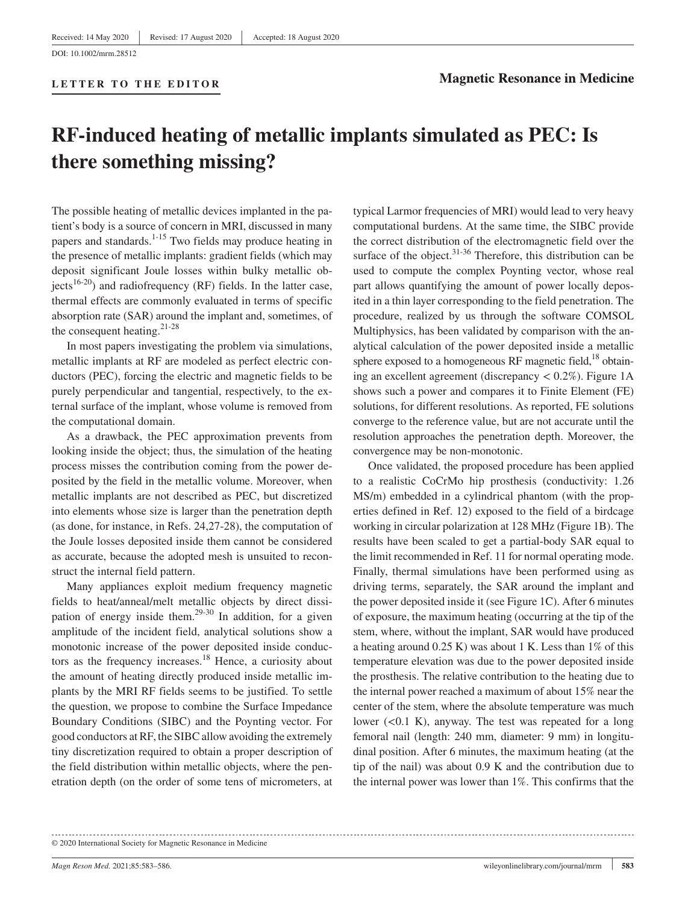**LETTER TO THE EDITOR**

# **RF-induced heating of metallic implants simulated as PEC: Is there something missing?**

The possible heating of metallic devices implanted in the patient's body is a source of concern in MRI, discussed in many papers and standards. $1-15$  Two fields may produce heating in the presence of metallic implants: gradient fields (which may deposit significant Joule losses within bulky metallic objects<sup>16-20</sup>) and radiofrequency (RF) fields. In the latter case, thermal effects are commonly evaluated in terms of specific absorption rate (SAR) around the implant and, sometimes, of the consequent heating.<sup>21-28</sup>

In most papers investigating the problem via simulations, metallic implants at RF are modeled as perfect electric conductors (PEC), forcing the electric and magnetic fields to be purely perpendicular and tangential, respectively, to the external surface of the implant, whose volume is removed from the computational domain.

As a drawback, the PEC approximation prevents from looking inside the object; thus, the simulation of the heating process misses the contribution coming from the power deposited by the field in the metallic volume. Moreover, when metallic implants are not described as PEC, but discretized into elements whose size is larger than the penetration depth (as done, for instance, in Refs. 24,27-28), the computation of the Joule losses deposited inside them cannot be considered as accurate, because the adopted mesh is unsuited to reconstruct the internal field pattern.

Many appliances exploit medium frequency magnetic fields to heat/anneal/melt metallic objects by direct dissipation of energy inside them.29-30 In addition, for a given amplitude of the incident field, analytical solutions show a monotonic increase of the power deposited inside conductors as the frequency increases.<sup>18</sup> Hence, a curiosity about the amount of heating directly produced inside metallic implants by the MRI RF fields seems to be justified. To settle the question, we propose to combine the Surface Impedance Boundary Conditions (SIBC) and the Poynting vector. For good conductors at RF, the SIBC allow avoiding the extremely tiny discretization required to obtain a proper description of the field distribution within metallic objects, where the penetration depth (on the order of some tens of micrometers, at

typical Larmor frequencies of MRI) would lead to very heavy computational burdens. At the same time, the SIBC provide the correct distribution of the electromagnetic field over the surface of the object. $31-36$  Therefore, this distribution can be used to compute the complex Poynting vector, whose real part allows quantifying the amount of power locally deposited in a thin layer corresponding to the field penetration. The procedure, realized by us through the software COMSOL Multiphysics, has been validated by comparison with the analytical calculation of the power deposited inside a metallic sphere exposed to a homogeneous RF magnetic field,<sup>18</sup> obtaining an excellent agreement (discrepancy < 0.2%). Figure 1A shows such a power and compares it to Finite Element (FE) solutions, for different resolutions. As reported, FE solutions converge to the reference value, but are not accurate until the resolution approaches the penetration depth. Moreover, the convergence may be non-monotonic.

Once validated, the proposed procedure has been applied to a realistic CoCrMo hip prosthesis (conductivity: 1.26 MS/m) embedded in a cylindrical phantom (with the properties defined in Ref. 12) exposed to the field of a birdcage working in circular polarization at 128 MHz (Figure 1B). The results have been scaled to get a partial-body SAR equal to the limit recommended in Ref. 11 for normal operating mode. Finally, thermal simulations have been performed using as driving terms, separately, the SAR around the implant and the power deposited inside it (see Figure 1C). After 6 minutes of exposure, the maximum heating (occurring at the tip of the stem, where, without the implant, SAR would have produced a heating around 0.25 K) was about 1 K. Less than 1% of this temperature elevation was due to the power deposited inside the prosthesis. The relative contribution to the heating due to the internal power reached a maximum of about 15% near the center of the stem, where the absolute temperature was much lower (<0.1 K), anyway. The test was repeated for a long femoral nail (length: 240 mm, diameter: 9 mm) in longitudinal position. After 6 minutes, the maximum heating (at the tip of the nail) was about 0.9 K and the contribution due to the internal power was lower than 1%. This confirms that the

<sup>© 2020</sup> International Society for Magnetic Resonance in Medicine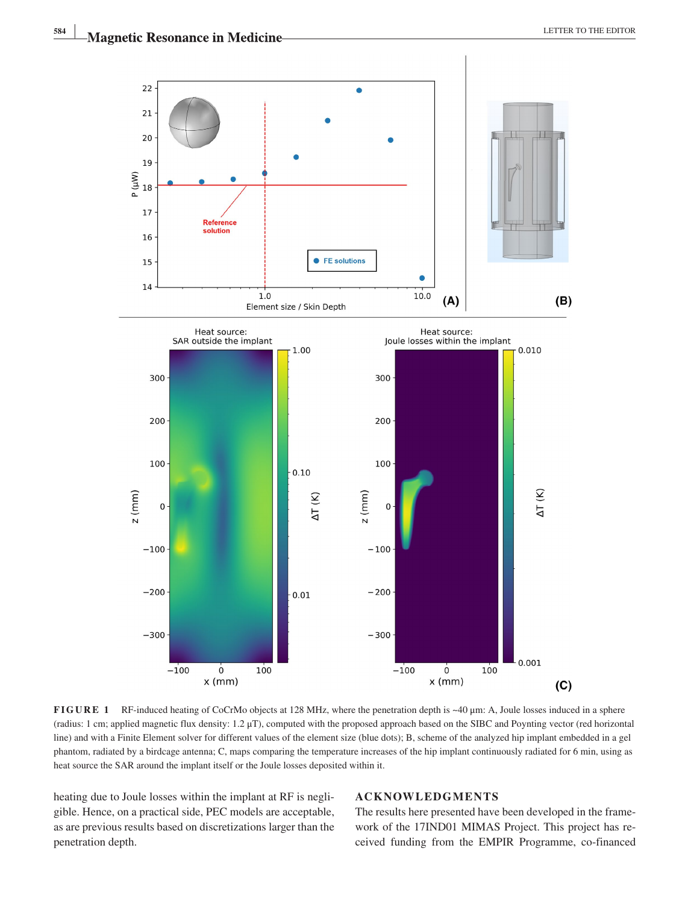

**FIGURE 1** RF-induced heating of CoCrMo objects at 128 MHz, where the penetration depth is ~40 μm: A, Joule losses induced in a sphere (radius: 1 cm; applied magnetic flux density: 1.2 μT), computed with the proposed approach based on the SIBC and Poynting vector (red horizontal line) and with a Finite Element solver for different values of the element size (blue dots); B, scheme of the analyzed hip implant embedded in a gel phantom, radiated by a birdcage antenna; C, maps comparing the temperature increases of the hip implant continuously radiated for 6 min, using as heat source the SAR around the implant itself or the Joule losses deposited within it.

heating due to Joule losses within the implant at RF is negligible. Hence, on a practical side, PEC models are acceptable, as are previous results based on discretizations larger than the penetration depth.

# **ACKNOWLEDGMENTS**

The results here presented have been developed in the framework of the 17IND01 MIMAS Project. This project has received funding from the EMPIR Programme, co-financed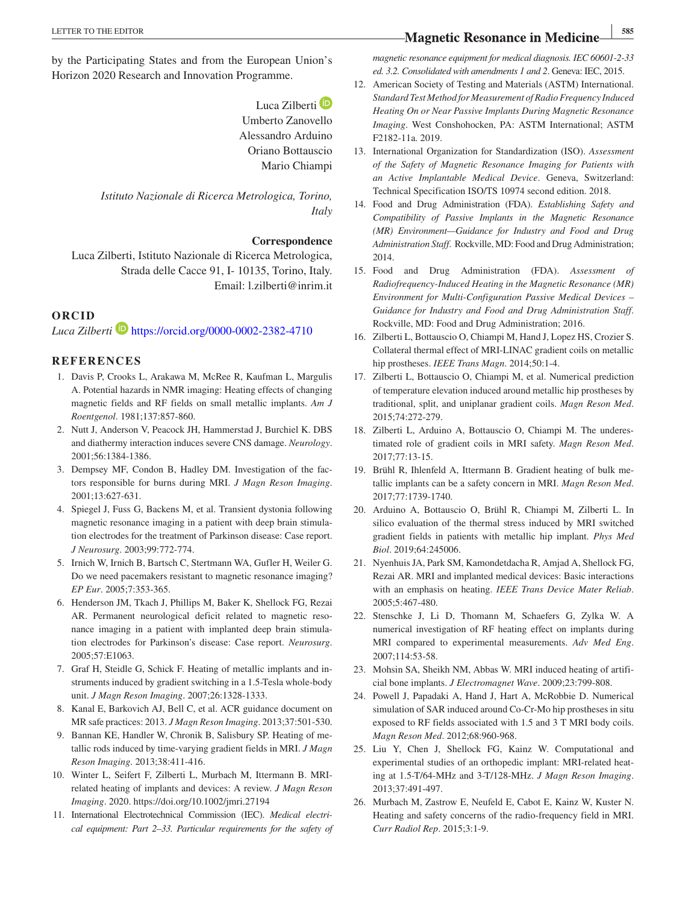by the Participating States and from the European Union's Horizon 2020 Research and Innovation Programme.

> Luca Z[i](https://orcid.org/0000-0002-2382-4710)lberti<sup>D</sup> Umberto Zanovello Alessandro Arduino Oriano Bottauscio Mario Chiampi

*Istituto Nazionale di Ricerca Metrologica, Torino, Italy*

### **Correspondence**

Luca Zilberti, Istituto Nazionale di Ricerca Metrologica, Strada delle Cacce 91, I- 10135, Torino, Italy. Email: [l.zilberti@inrim.it](mailto:l.zilberti@inrim.it)

# **ORCID**

*Luca Zilberti* **b** <https://orcid.org/0000-0002-2382-4710>

# **REFERENCES**

- 1. Davis P, Crooks L, Arakawa M, McRee R, Kaufman L, Margulis A. Potential hazards in NMR imaging: Heating effects of changing magnetic fields and RF fields on small metallic implants. *Am J Roentgenol*. 1981;137:857-860.
- 2. Nutt J, Anderson V, Peacock JH, Hammerstad J, Burchiel K. DBS and diathermy interaction induces severe CNS damage. *Neurology*. 2001;56:1384-1386.
- 3. Dempsey MF, Condon B, Hadley DM. Investigation of the factors responsible for burns during MRI. *J Magn Reson Imaging*. 2001;13:627-631.
- 4. Spiegel J, Fuss G, Backens M, et al. Transient dystonia following magnetic resonance imaging in a patient with deep brain stimulation electrodes for the treatment of Parkinson disease: Case report. *J Neurosurg*. 2003;99:772-774.
- 5. Irnich W, Irnich B, Bartsch C, Stertmann WA, Gufler H, Weiler G. Do we need pacemakers resistant to magnetic resonance imaging? *EP Eur*. 2005;7:353-365.
- 6. Henderson JM, Tkach J, Phillips M, Baker K, Shellock FG, Rezai AR. Permanent neurological deficit related to magnetic resonance imaging in a patient with implanted deep brain stimulation electrodes for Parkinson's disease: Case report. *Neurosurg*. 2005;57:E1063.
- 7. Graf H, Steidle G, Schick F. Heating of metallic implants and instruments induced by gradient switching in a 1.5-Tesla whole-body unit. *J Magn Reson Imaging*. 2007;26:1328-1333.
- 8. Kanal E, Barkovich AJ, Bell C, et al. ACR guidance document on MR safe practices: 2013. *J Magn Reson Imaging*. 2013;37:501-530.
- 9. Bannan KE, Handler W, Chronik B, Salisbury SP. Heating of metallic rods induced by time-varying gradient fields in MRI. *J Magn Reson Imaging*. 2013;38:411-416.
- 10. Winter L, Seifert F, Zilberti L, Murbach M, Ittermann B. MRIrelated heating of implants and devices: A review. *J Magn Reson Imaging*. 2020. <https://doi.org/10.1002/jmri.27194>
- 11. International Electrotechnical Commission (IEC). *Medical electrical equipment: Part 2–33. Particular requirements for the safety of*

*magnetic resonance equipment for medical diagnosis. IEC 60601-2-33 ed. 3.2. Consolidated with amendments 1 and 2*. Geneva: IEC, 2015.

- 12. American Society of Testing and Materials (ASTM) International. *Standard Test Method for Measurement of Radio Frequency Induced Heating On or Near Passive Implants During Magnetic Resonance Imaging*. West Conshohocken, PA: ASTM International; ASTM F2182-11a. 2019.
- 13. International Organization for Standardization (ISO). *Assessment of the Safety of Magnetic Resonance Imaging for Patients with an Active Implantable Medical Device*. Geneva, Switzerland: Technical Specification ISO/TS 10974 second edition. 2018.
- 14. Food and Drug Administration (FDA). *Establishing Safety and Compatibility of Passive Implants in the Magnetic Resonance (MR) Environment—Guidance for Industry and Food and Drug Administration Staff*. Rockville, MD: Food and Drug Administration; 2014.
- 15. Food and Drug Administration (FDA). *Assessment of Radiofrequency-Induced Heating in the Magnetic Resonance (MR) Environment for Multi-Configuration Passive Medical Devices – Guidance for Industry and Food and Drug Administration Staff*. Rockville, MD: Food and Drug Administration; 2016.
- 16. Zilberti L, Bottauscio O, Chiampi M, Hand J, Lopez HS, Crozier S. Collateral thermal effect of MRI-LINAC gradient coils on metallic hip prostheses. *IEEE Trans Magn*. 2014;50:1-4.
- 17. Zilberti L, Bottauscio O, Chiampi M, et al. Numerical prediction of temperature elevation induced around metallic hip prostheses by traditional, split, and uniplanar gradient coils. *Magn Reson Med*. 2015;74:272-279.
- 18. Zilberti L, Arduino A, Bottauscio O, Chiampi M. The underestimated role of gradient coils in MRI safety. *Magn Reson Med*. 2017;77:13-15.
- 19. Brühl R, Ihlenfeld A, Ittermann B. Gradient heating of bulk metallic implants can be a safety concern in MRI. *Magn Reson Med*. 2017;77:1739-1740.
- 20. Arduino A, Bottauscio O, Brühl R, Chiampi M, Zilberti L. In silico evaluation of the thermal stress induced by MRI switched gradient fields in patients with metallic hip implant. *Phys Med Biol*. 2019;64:245006.
- 21. Nyenhuis JA, Park SM, Kamondetdacha R, Amjad A, Shellock FG, Rezai AR. MRI and implanted medical devices: Basic interactions with an emphasis on heating. *IEEE Trans Device Mater Reliab*. 2005;5:467-480.
- 22. Stenschke J, Li D, Thomann M, Schaefers G, Zylka W. A numerical investigation of RF heating effect on implants during MRI compared to experimental measurements. *Adv Med Eng*. 2007;114:53-58.
- 23. Mohsin SA, Sheikh NM, Abbas W. MRI induced heating of artificial bone implants. *J Electromagnet Wave*. 2009;23:799-808.
- 24. Powell J, Papadaki A, Hand J, Hart A, McRobbie D. Numerical simulation of SAR induced around Co-Cr-Mo hip prostheses in situ exposed to RF fields associated with 1.5 and 3 T MRI body coils. *Magn Reson Med*. 2012;68:960-968.
- 25. Liu Y, Chen J, Shellock FG, Kainz W. Computational and experimental studies of an orthopedic implant: MRI-related heating at 1.5-T/64-MHz and 3-T/128-MHz. *J Magn Reson Imaging*. 2013;37:491-497.
- 26. Murbach M, Zastrow E, Neufeld E, Cabot E, Kainz W, Kuster N. Heating and safety concerns of the radio-frequency field in MRI. *Curr Radiol Rep*. 2015;3:1-9.